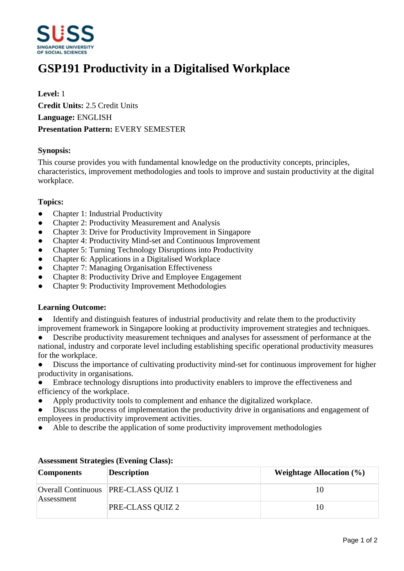

# **GSP191 Productivity in a Digitalised Workplace**

## **Level:** 1 **Credit Units:** 2.5 Credit Units **Language:** ENGLISH **Presentation Pattern:** EVERY SEMESTER

#### **Synopsis:**

This course provides you with fundamental knowledge on the productivity concepts, principles, characteristics, improvement methodologies and tools to improve and sustain productivity at the digital workplace.

#### **Topics:**

- Chapter 1: Industrial Productivity
- ƔChapter 2: Productivity Measurement and Analysis
- Chapter 3: Drive for Productivity Improvement in Singapore
- Chapter 4: Productivity Mind-set and Continuous Improvement
- Chapter 5: Turning Technology Disruptions into Productivity
- Chapter 6: Applications in a Digitalised Workplace
- ƔChapter 7: Managing Organisation Effectiveness
- ƔChapter 8: Productivity Drive and Employee Engagement
- ƔChapter 9: Productivity Improvement Methodologies

#### **Learning Outcome:**

- Identify and distinguish features of industrial productivity and relate them to the productivity improvement framework in Singapore looking at productivity improvement strategies and techniques.
- Describe productivity measurement techniques and analyses for assessment of performance at the national, industry and corporate level including establishing specific operational productivity measures for the workplace.
- Discuss the importance of cultivating productivity mind-set for continuous improvement for higher productivity in organisations.
- Embrace technology disruptions into productivity enablers to improve the effectiveness and efficiency of the workplace.
- Apply productivity tools to complement and enhance the digitalized workplace.
- Discuss the process of implementation the productivity drive in organisations and engagement of employees in productivity improvement activities.
- Able to describe the application of some productivity improvement methodologies

| <b>Components</b> | <b>Description</b>                    | Weightage Allocation $(\% )$ |
|-------------------|---------------------------------------|------------------------------|
| Assessment        | Overall Continuous   PRE-CLASS QUIZ 1 | 10                           |
|                   | <b>PRE-CLASS QUIZ 2</b>               | 10                           |

### **Assessment Strategies (Evening Class):**